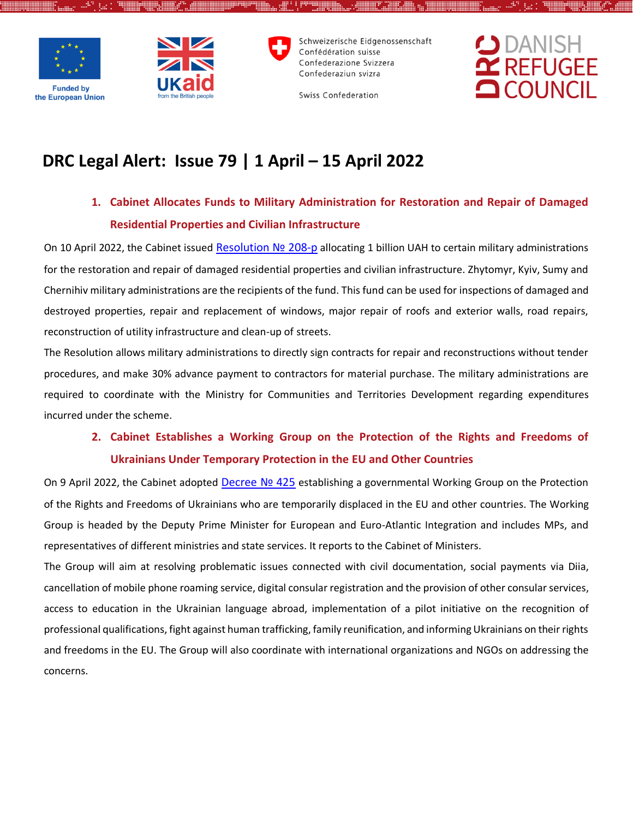



Schweizerische Eidgenossenschaft Confédération suisse Confederazione Svizzera Confederaziun svizra



Swiss Confederation

# **DRC Legal Alert: Issue 79 | 1 April – 15 April 2022**

# **1. Cabinet Allocates Funds to Military Administration for Restoration and Repair of Damaged Residential Properties and Civilian Infrastructure**

On 10 April 2022, the Cabinet issued [Resolution](https://www.kmu.gov.ua/npas/pro-vidilennya-koshtiv-z-rezervnogo-fondu-derzhavnogo-byudzhetu-280-) Nº 208-p allocating 1 billion UAH to certain military administrations for the restoration and repair of damaged residential properties and civilian infrastructure. Zhytomyr, Kyiv, Sumy and Chernihiv military administrations are the recipients of the fund. This fund can be used for inspections of damaged and destroyed properties, repair and replacement of windows, major repair of roofs and exterior walls, road repairs, reconstruction of utility infrastructure and clean-up of streets.

The Resolution allows military administrations to directly sign contracts for repair and reconstructions without tender procedures, and make 30% advance payment to contractors for material purchase. The military administrations are required to coordinate with the Ministry for Communities and Territories Development regarding expenditures incurred under the scheme.

# **2. Cabinet Establishes a Working Group on the Protection of the Rights and Freedoms of Ukrainians Under Temporary Protection in the EU and Other Countries**

On 9 April 2022, the Cabinet adopted [Decree](https://www.kmu.gov.ua/npas/pro-utvorennya-robochoyi-grupi-shchodo-zahistu-prav-i-svobod-gromadyan-ukrayini-yaki-perebuvayut-na-teritoriyi-derzhav-chleniv-yes-ta-inshih-derzhav-yak-timchasovo-peremishcheni-osobi-425) Nº 425 establishing a governmental Working Group on the Protection of the Rights and Freedoms of Ukrainians who are temporarily displaced in the EU and other countries. The Working Group is headed by the Deputy Prime Minister for European and Euro-Atlantic Integration and includes MPs, and representatives of different ministries and state services. It reports to the Cabinet of Ministers.

The Group will aim at resolving problematic issues connected with civil documentation, social payments via Diia, cancellation of mobile phone roaming service, digital consular registration and the provision of other consular services, access to education in the Ukrainian language abroad, implementation of a pilot initiative on the recognition of professional qualifications, fight against human trafficking, family reunification, and informing Ukrainians on their rights and freedoms in the EU. The Group will also coordinate with international organizations and NGOs on addressing the concerns.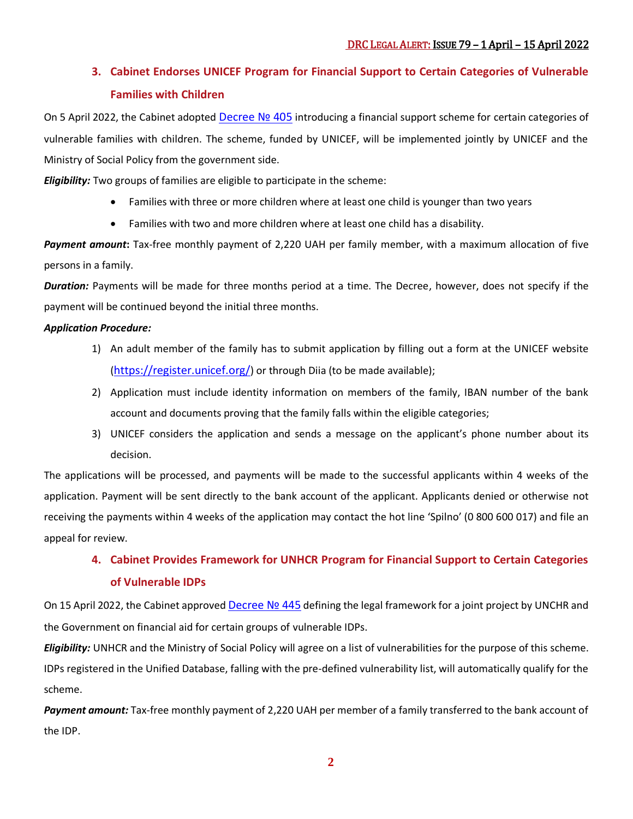# **3. Cabinet Endorses UNICEF Program for Financial Support to Certain Categories of Vulnerable Families with Children**

On 5 April 2022, the Cabinet adopted [Decree](https://www.kmu.gov.ua/npas/pro-realizaciyu-spilnogo-z-mizhnarodnim-nadzvichajnim-fondom-dopomogi-dityam-pri-organizaciyi-obyednanih-nacij-yunisef-proektu-shchodo-dodatkovih-zahodiv-405) Nº 405 introducing a financial support scheme for certain categories of vulnerable families with children. The scheme, funded by UNICEF, will be implemented jointly by UNICEF and the Ministry of Social Policy from the government side.

*Eligibility:* Two groups of families are eligible to participate in the scheme:

- Families with three or more children where at least one child is younger than two years
- Families with two and more children where at least one child has a disability.

*Payment amount***:** Tax-free monthly payment of 2,220 UAH per family member, with a maximum allocation of five persons in a family.

*Duration:* Payments will be made for three months period at a time. The Decree, however, does not specify if the payment will be continued beyond the initial three months.

### *Application Procedure:*

- 1) An adult member of the family has to submit application by filling out a form at the UNICEF website (<https://register.unicef.org/>) or through Diia (to be made available);
- 2) Application must include identity information on members of the family, IBAN number of the bank account and documents proving that the family falls within the eligible categories;
- 3) UNICEF considers the application and sends a message on the applicant's phone number about its decision.

The applications will be processed, and payments will be made to the successful applicants within 4 weeks of the application. Payment will be sent directly to the bank account of the applicant. Applicants denied or otherwise not receiving the payments within 4 weeks of the application may contact the hot line 'Spilno' (0 800 600 017) and file an appeal for review.

# **4. Cabinet Provides Framework for UNHCR Program for Financial Support to Certain Categories of Vulnerable IDPs**

On 15 April 2022, the Cabinet approved [Decree](https://zakon.rada.gov.ua/laws/show/445-2022-%D0%BF#Text) Nº 445 defining the legal framework for a joint project by UNCHR and the Government on financial aid for certain groups of vulnerable IDPs.

*Eligibility:* UNHCR and the Ministry of Social Policy will agree on a list of vulnerabilities for the purpose of this scheme. IDPs registered in the Unified Database, falling with the pre-defined vulnerability list, will automatically qualify for the scheme.

*Payment amount:* Tax-free monthly payment of 2,220 UAH per member of a family transferred to the bank account of the IDP.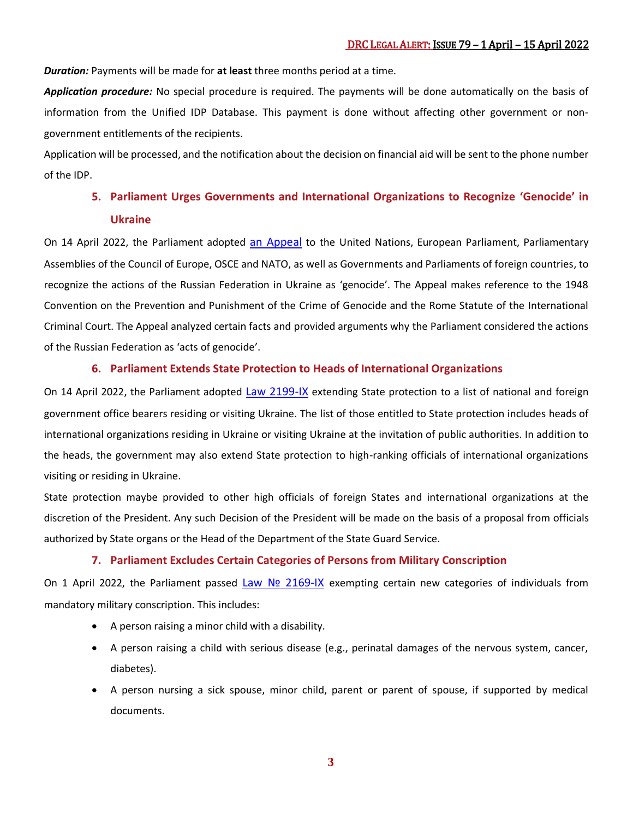*Duration:* Payments will be made for **at least** three months period at a time.

*Application procedure:* No special procedure is required. The payments will be done automatically on the basis of information from the Unified IDP Database. This payment is done without affecting other government or nongovernment entitlements of the recipients.

Application will be processed, and the notification about the decision on financial aid will be sent to the phone number of the IDP.

## **5. Parliament Urges Governments and International Organizations to Recognize 'Genocide' in Ukraine**

On 14 April 2022, the Parliament adopted [an Appeal](https://zakon.rada.gov.ua/laws/show/2188-IX#Text) to the United Nations, European Parliament, Parliamentary Assemblies of the Council of Europe, OSCE and NATO, as well as Governments and Parliaments of foreign countries, to recognize the actions of the Russian Federation in Ukraine as 'genocide'. The Appeal makes reference to the 1948 Convention on the Prevention and Punishment of the Crime of Genocide and the Rome Statute of the International Criminal Court. The Appeal analyzed certain facts and provided arguments why the Parliament considered the actions of the Russian Federation as 'acts of genocide'.

### **6. Parliament Extends State Protection to Heads of International Organizations**

On 14 April 2022, the Parliament adopted [Law 2199-IX](https://zakon.rada.gov.ua/laws/show/2199-IX#Text) extending State protection to a list of national and foreign government office bearers residing or visiting Ukraine. The list of those entitled to State protection includes heads of international organizations residing in Ukraine or visiting Ukraine at the invitation of public authorities. In addition to the heads, the government may also extend State protection to high-ranking officials of international organizations visiting or residing in Ukraine.

State protection maybe provided to other high officials of foreign States and international organizations at the discretion of the President. Any such Decision of the President will be made on the basis of a proposal from officials authorized by State organs or the Head of the Department of the State Guard Service.

### **7. Parliament Excludes Certain Categories of Persons from Military Conscription**

On 1 April 2022, the Parliament passed Law Nº [2169-IX](https://zakon.rada.gov.ua/laws/show/2169-IX#Text) exempting certain new categories of individuals from mandatory military conscription. This includes:

- A person raising a minor child with a disability.
- A person raising a child with serious disease (e.g., perinatal damages of the nervous system, cancer, diabetes).
- A person nursing a sick spouse, minor child, parent or parent of spouse, if supported by medical documents.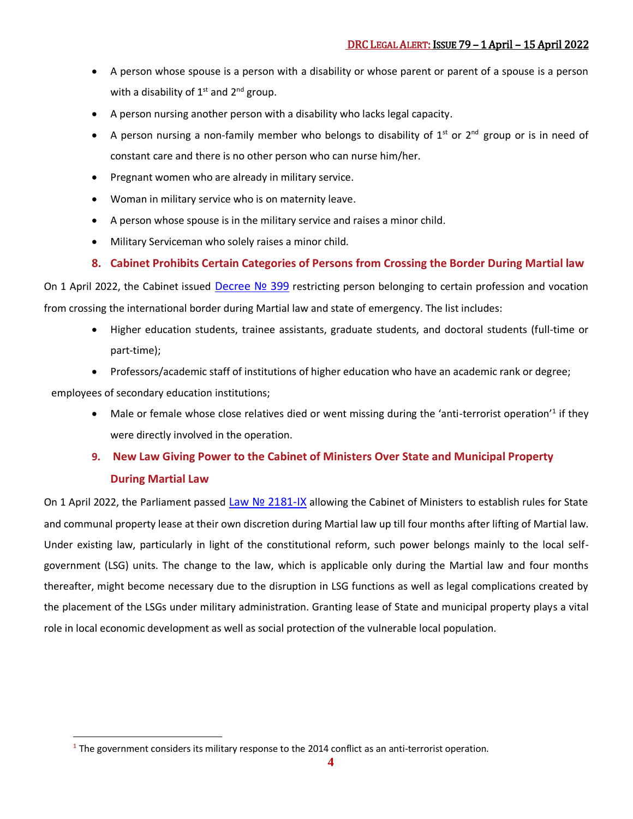- A person whose spouse is a person with a disability or whose parent or parent of a spouse is a person with a disability of  $1<sup>st</sup>$  and  $2<sup>nd</sup>$  group.
- A person nursing another person with a disability who lacks legal capacity.
- A person nursing a non-family member who belongs to disability of  $1<sup>st</sup>$  or  $2<sup>nd</sup>$  group or is in need of constant care and there is no other person who can nurse him/her.
- Pregnant women who are already in military service.
- Woman in military service who is on maternity leave.
- A person whose spouse is in the military service and raises a minor child.
- Military Serviceman who solely raises a minor child.

### **8. Cabinet Prohibits Certain Categories of Persons from Crossing the Border During Martial law**

On 1 April 2022, the Cabinet issued Decree Nº 399 restricting person belonging to certain profession and vocation from crossing the international border during Martial law and state of emergency. The list includes:

- Higher education students, trainee assistants, graduate students, and doctoral students (full-time or part-time);
- Professors/academic staff of institutions of higher education who have an academic rank or degree;

employees of secondary education institutions;

• Male or female whose close relatives died or went missing during the 'anti-terrorist operation'<sup>1</sup> if they were directly involved in the operation.

# **9. New Law Giving Power to the Cabinet of Ministers Over State and Municipal Property**

### **During Martial Law**

 $\overline{a}$ 

On 1 April 2022, the Parliament passed Law Nº [2181-IX](https://zakon.rada.gov.ua/laws/show/2181-20#Text) allowing the Cabinet of Ministers to establish rules for State and communal property lease at their own discretion during Martial law up till four months after lifting of Martial law. Under existing law, particularly in light of the constitutional reform, such power belongs mainly to the local selfgovernment (LSG) units. The change to the law, which is applicable only during the Martial law and four months thereafter, might become necessary due to the disruption in LSG functions as well as legal complications created by the placement of the LSGs under military administration. Granting lease of State and municipal property plays a vital role in local economic development as well as social protection of the vulnerable local population.

**<sup>1</sup>** The government considers its military response to the 2014 conflict as an anti-terrorist operation.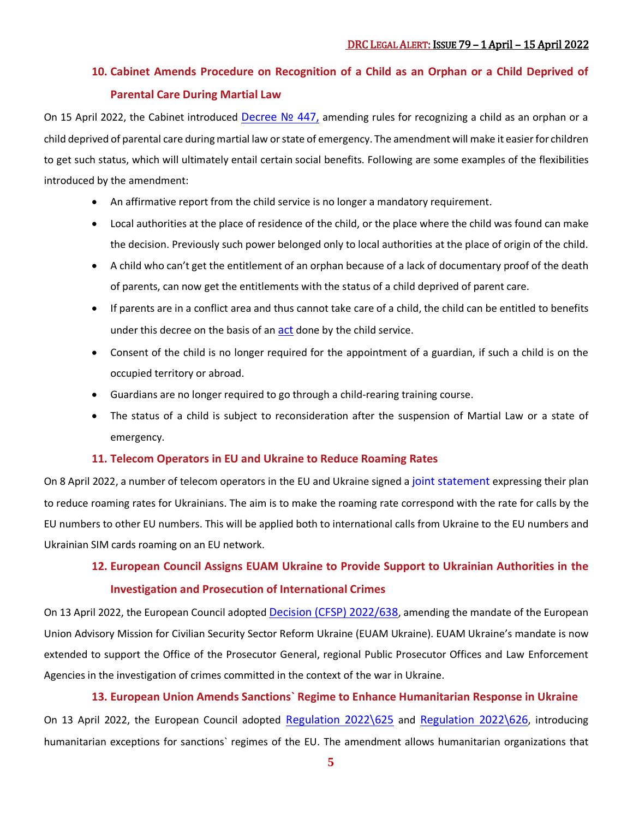## **10. Cabinet Amends Procedure on Recognition of a Child as an Orphan or a Child Deprived of Parental Care During Martial Law**

On 15 April 2022, the Cabinet introduced [Decree](https://zakon.rada.gov.ua/laws/show/447-2022-%D0%BF#Text) Nº 447, amending rules for recognizing a child as an orphan or a child deprived of parental care during martial law or state of emergency. The amendment will make it easier for children to get such status, which will ultimately entail certain social benefits. Following are some examples of the flexibilities introduced by the amendment:

- An affirmative report from the child service is no longer a mandatory requirement.
- Local authorities at the place of residence of the child, or the place where the child was found can make the decision. Previously such power belonged only to local authorities at the place of origin of the child.
- A child who can't get the entitlement of an orphan because of a lack of documentary proof of the death of parents, can now get the entitlements with the status of a child deprived of parent care.
- If parents are in a conflict area and thus cannot take care of a child, the child can be entitled to benefits under this decree on the basis of an [act](https://zakon.rada.gov.ua/laws/file/text/72/f272713n792.doc) done by the child service.
- Consent of the child is no longer required for the appointment of a guardian, if such a child is on the occupied territory or abroad.
- Guardians are no longer required to go through a child-rearing training course.
- The status of a child is subject to reconsideration after the suspension of Martial Law or a state of emergency.

### **11. Telecom Operators in EU and Ukraine to Reduce Roaming Rates**

On 8 April 2022, a number of telecom operators in the EU and Ukraine signed a [joint statement](https://ec.europa.eu/newsroom/dae/redirection/document/85950) expressing their plan to reduce roaming rates for Ukrainians. The aim is to make the roaming rate correspond with the rate for calls by the EU numbers to other EU numbers. This will be applied both to international calls from Ukraine to the EU numbers and Ukrainian SIM cards roaming on an EU network.

## **12. European Council Assigns EUAM Ukraine to Provide Support to Ukrainian Authorities in the Investigation and Prosecution of International Crimes**

On 13 April 2022, the European Council adopted [Decision \(CFSP\) 2022/638](https://eur-lex.europa.eu/legal-content/EN/TXT/?uri=CELEX%3A32022D0638&qid=1650494648014), amending the mandate of the European Union Advisory Mission for Civilian Security Sector Reform Ukraine (EUAM Ukraine). EUAM Ukraine's mandate is now extended to support the Office of the Prosecutor General, regional Public Prosecutor Offices and Law Enforcement Agencies in the investigation of crimes committed in the context of the war in Ukraine.

### **13. European Union Amends Sanctions` Regime to Enhance Humanitarian Response in Ukraine**

On 13 April 2022, the European Council adopted [Regulation 2022\625](https://eur-lex.europa.eu/legal-content/EN/TXT/?uri=uriserv%3AOJ.L_.2022.116.01.0001.01.ENG&toc=OJ%3AL%3A2022%3A116%3ATOC) and [Regulation 2022\626](https://eur-lex.europa.eu/legal-content/EN/TXT/?uri=uriserv%3AOJ.L_.2022.116.01.0003.01.ENG&toc=OJ%3AL%3A2022%3A116%3ATOC), introducing humanitarian exceptions for sanctions` regimes of the EU. The amendment allows humanitarian organizations that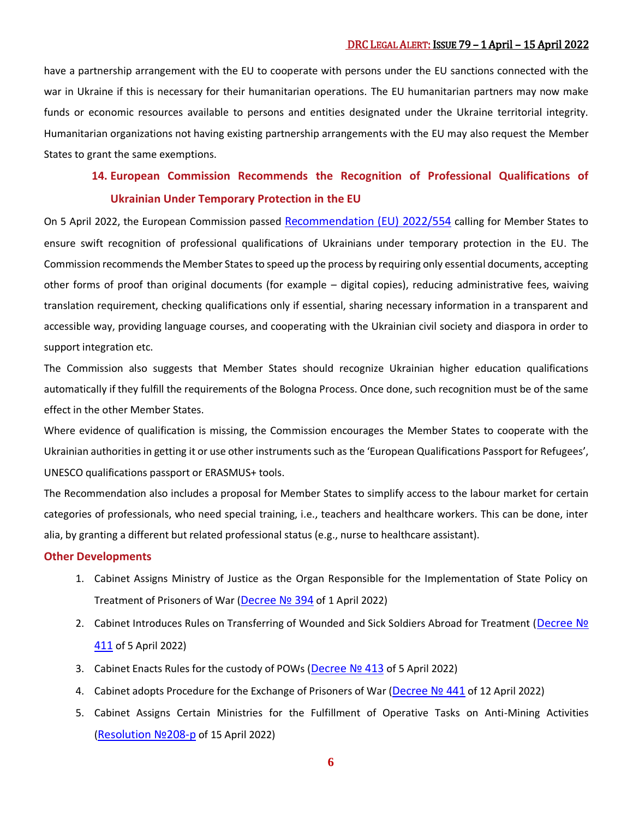### DRC LEGAL ALERT: ISSUE 79 – 1 April – 15 April 2022

have a partnership arrangement with the EU to cooperate with persons under the EU sanctions connected with the war in Ukraine if this is necessary for their humanitarian operations. The EU humanitarian partners may now make funds or economic resources available to persons and entities designated under the Ukraine territorial integrity. Humanitarian organizations not having existing partnership arrangements with the EU may also request the Member States to grant the same exemptions.

## **14. European Commission Recommends the Recognition of Professional Qualifications of Ukrainian Under Temporary Protection in the EU**

On 5 April 2022, the European Commission passed [Recommendation \(EU\) 2022/554](https://eur-lex.europa.eu/legal-content/EN/TXT/?uri=CELEX:32022H0554) calling for Member States to ensure swift recognition of professional qualifications of Ukrainians under temporary protection in the EU. The Commission recommends the Member States to speed up the process by requiring only essential documents, accepting other forms of proof than original documents (for example – digital copies), reducing administrative fees, waiving translation requirement, checking qualifications only if essential, sharing necessary information in a transparent and accessible way, providing language courses, and cooperating with the Ukrainian civil society and diaspora in order to support integration etc.

The Commission also suggests that Member States should recognize Ukrainian higher education qualifications automatically if they fulfill the requirements of the Bologna Process. Once done, such recognition must be of the same effect in the other Member States.

Where evidence of qualification is missing, the Commission encourages the Member States to cooperate with the Ukrainian authorities in getting it or use other instruments such as the 'European Qualifications Passport for Refugees', UNESCO qualifications passport or ERASMUS+ tools.

The Recommendation also includes a proposal for Member States to simplify access to the labour market for certain categories of professionals, who need special training, i.e., teachers and healthcare workers. This can be done, inter alia, by granting a different but related professional status (e.g., nurse to healthcare assistant).

#### **Other Developments**

- 1. Cabinet Assigns Ministry of Justice as the Organ Responsible for the Implementation of State Policy on Treatment of Prisoners of War ([Decree](https://www.kmu.gov.ua/npas/pro-vnesennya-zmin-do-polozhennya-pro-ministerstvo-yusticiyi-ukrayini-394) Nº 394 of 1 April 2022)
- 2. Cabinet Introduces Rules on Transferring of Wounded and Sick Soldiers Abroad for Treatment ([Decree](https://www.kmu.gov.ua/npas/pro-zabezpechennya-organizaciyi-napravlennya-osib-iz-skladovih-sil-oboroni-ta-sil-bezpeki-postrazhdalih-u-411) № [411](https://www.kmu.gov.ua/npas/pro-zabezpechennya-organizaciyi-napravlennya-osib-iz-skladovih-sil-oboroni-ta-sil-bezpeki-postrazhdalih-u-411) of 5 April 2022)
- 3. Cabinet Enacts Rules for the custody of POWs ([Decree](https://www.kmu.gov.ua/npas/pro-zatverdzhennya-poryadku-trimannya-vijskovopolonenih-413) Nº 413 of 5 April 2022)
- 4. Cabinet adopts Procedure for the Exchange of Prisoners of War ([Decree](https://zakon.rada.gov.ua/laws/show/441-2022-%D0%BF#Text) № 441 of 12 April 2022)
- 5. Cabinet Assigns Certain Ministries for the Fulfillment of Operative Tasks on Anti-Mining Activities ([Resolution](https://zakon.rada.gov.ua/laws/show/288-2022-%D1%80#Text) №208-p of 15 April 2022)